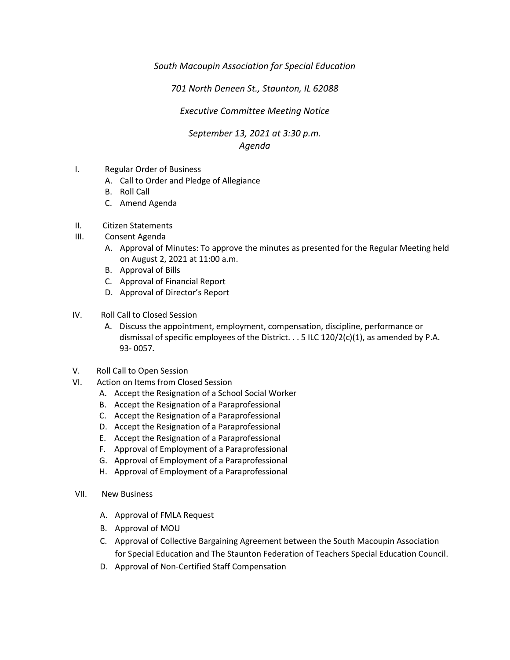## *South Macoupin Association for Special Education*

## *701 North Deneen St., Staunton, IL 62088*

## *Executive Committee Meeting Notice*

## *September 13, 2021 at 3:30 p.m. Agenda*

- I. Regular Order of Business
	- A. Call to Order and Pledge of Allegiance
	- B. Roll Call
	- C. Amend Agenda
- II. Citizen Statements
- III. Consent Agenda
	- A. Approval of Minutes: To approve the minutes as presented for the Regular Meeting held on August 2, 2021 at 11:00 a.m.
	- B. Approval of Bills
	- C. Approval of Financial Report
	- D. Approval of Director's Report
- IV. Roll Call to Closed Session
	- A. Discuss the appointment, employment, compensation, discipline, performance or dismissal of specific employees of the District.  $\ldots$  5 ILC 120/2(c)(1), as amended by P.A. 93- 0057**.**
- V. Roll Call to Open Session
- VI. Action on Items from Closed Session
	- A. Accept the Resignation of a School Social Worker
	- B. Accept the Resignation of a Paraprofessional
	- C. Accept the Resignation of a Paraprofessional
	- D. Accept the Resignation of a Paraprofessional
	- E. Accept the Resignation of a Paraprofessional
	- F. Approval of Employment of a Paraprofessional
	- G. Approval of Employment of a Paraprofessional
	- H. Approval of Employment of a Paraprofessional
- VII. New Business
	- A. Approval of FMLA Request
	- B. Approval of MOU
	- C. Approval of Collective Bargaining Agreement between the South Macoupin Association for Special Education and The Staunton Federation of Teachers Special Education Council.
	- D. Approval of Non-Certified Staff Compensation